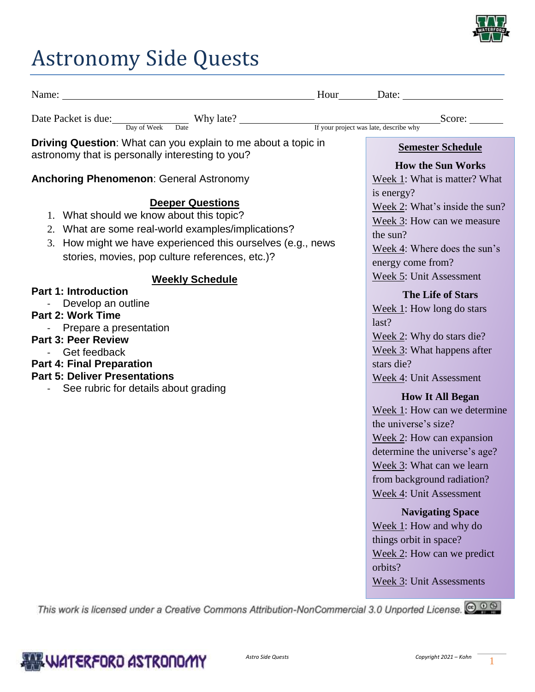

# Astronomy Side Quests

|                                                                                                                                                                                                                                                                                                                                                                                                                                                                                                                                                    | $Hour \_\_\_\_\_\_\_\_\_\_\_\_\_\_\_\_\_\_\_\_\_\_\_\_\_\_\_\_\_\_\_\_\_$                                                                                                                                                                                                                                                                                                                                                                                                                                                                                                                                                                                                                                      |
|----------------------------------------------------------------------------------------------------------------------------------------------------------------------------------------------------------------------------------------------------------------------------------------------------------------------------------------------------------------------------------------------------------------------------------------------------------------------------------------------------------------------------------------------------|----------------------------------------------------------------------------------------------------------------------------------------------------------------------------------------------------------------------------------------------------------------------------------------------------------------------------------------------------------------------------------------------------------------------------------------------------------------------------------------------------------------------------------------------------------------------------------------------------------------------------------------------------------------------------------------------------------------|
| Date Packet is due: Day of Week Date Why late? If your project was late, describe why                                                                                                                                                                                                                                                                                                                                                                                                                                                              | Score:                                                                                                                                                                                                                                                                                                                                                                                                                                                                                                                                                                                                                                                                                                         |
| Driving Question: What can you explain to me about a topic in<br>astronomy that is personally interesting to you?                                                                                                                                                                                                                                                                                                                                                                                                                                  | <b>Semester Schedule</b>                                                                                                                                                                                                                                                                                                                                                                                                                                                                                                                                                                                                                                                                                       |
| <b>Anchoring Phenomenon: General Astronomy</b>                                                                                                                                                                                                                                                                                                                                                                                                                                                                                                     | <b>How the Sun Works</b><br>Week 1: What is matter? What                                                                                                                                                                                                                                                                                                                                                                                                                                                                                                                                                                                                                                                       |
| <b>Deeper Questions</b><br>1. What should we know about this topic?<br>2. What are some real-world examples/implications?<br>3. How might we have experienced this ourselves (e.g., news<br>stories, movies, pop culture references, etc.)?<br><b>Weekly Schedule</b><br><b>Part 1: Introduction</b><br>Develop an outline<br><b>Part 2: Work Time</b><br>Prepare a presentation<br><b>Part 3: Peer Review</b><br>Get feedback<br><b>Part 4: Final Preparation</b><br><b>Part 5: Deliver Presentations</b><br>See rubric for details about grading | is energy?<br>Week 2: What's inside the sun?<br>Week 3: How can we measure<br>the sun?<br>Week 4: Where does the sun's<br>energy come from?<br>Week 5: Unit Assessment<br><b>The Life of Stars</b><br>Week $1$ : How long do stars<br>last?<br>Week 2: Why do stars die?<br>Week 3: What happens after<br>stars die?<br>Week 4: Unit Assessment<br><b>How It All Began</b><br>Week 1: How can we determine<br>the universe's size?<br>Week 2: How can expansion<br>determine the universe's age?<br>Week 3: What can we learn<br>from background radiation?<br>Week 4: Unit Assessment<br><b>Navigating Space</b><br>Week 1: How and why do<br>things orbit in space?<br>Week 2: How can we predict<br>orbits? |
|                                                                                                                                                                                                                                                                                                                                                                                                                                                                                                                                                    | <b>Week 3: Unit Assessments</b>                                                                                                                                                                                                                                                                                                                                                                                                                                                                                                                                                                                                                                                                                |

This work is licensed under a Creative Commons Attribution-NonCommercial 3.0 Unported License. @ 0 @

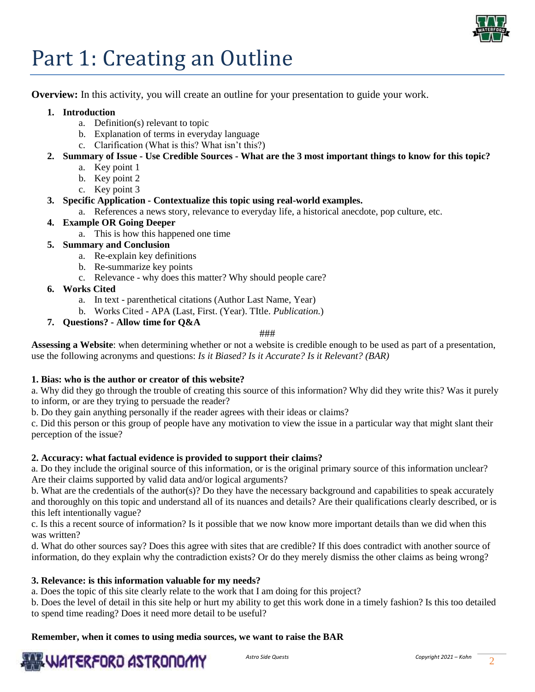

## Part 1: Creating an Outline

**Overview:** In this activity, you will create an outline for your presentation to guide your work.

#### **1. Introduction**

- a. Definition(s) relevant to topic
- b. Explanation of terms in everyday language
- c. Clarification (What is this? What isn't this?)
- **2. Summary of Issue - Use Credible Sources - What are the 3 most important things to know for this topic?**
	- a. Key point 1
		- b. Key point 2
		- c. Key point 3

#### **3. Specific Application - Contextualize this topic using real-world examples.**

a. References a news story, relevance to everyday life, a historical anecdote, pop culture, etc.

#### **4. Example OR Going Deeper**

- a. This is how this happened one time
- **5. Summary and Conclusion**
	- a. Re-explain key definitions
	- b. Re-summarize key points
	- c. Relevance why does this matter? Why should people care?
- **6. Works Cited**
	- a. In text parenthetical citations (Author Last Name, Year)
	- b. Works Cited APA (Last, First. (Year). TItle. *Publication.*)
- **7. Questions? - Allow time for Q&A**

###

**Assessing a Website**: when determining whether or not a website is credible enough to be used as part of a presentation, use the following acronyms and questions: *Is it Biased? Is it Accurate? Is it Relevant? (BAR)*

#### **1. Bias: who is the author or creator of this website?**

a. Why did they go through the trouble of creating this source of this information? Why did they write this? Was it purely to inform, or are they trying to persuade the reader?

b. Do they gain anything personally if the reader agrees with their ideas or claims?

c. Did this person or this group of people have any motivation to view the issue in a particular way that might slant their perception of the issue?

#### **2. Accuracy: what factual evidence is provided to support their claims?**

a. Do they include the original source of this information, or is the original primary source of this information unclear? Are their claims supported by valid data and/or logical arguments?

b. What are the credentials of the author(s)? Do they have the necessary background and capabilities to speak accurately and thoroughly on this topic and understand all of its nuances and details? Are their qualifications clearly described, or is this left intentionally vague?

c. Is this a recent source of information? Is it possible that we now know more important details than we did when this was written?

d. What do other sources say? Does this agree with sites that are credible? If this does contradict with another source of information, do they explain why the contradiction exists? Or do they merely dismiss the other claims as being wrong?

#### **3. Relevance: is this information valuable for my needs?**

a. Does the topic of this site clearly relate to the work that I am doing for this project?

b. Does the level of detail in this site help or hurt my ability to get this work done in a timely fashion? Is this too detailed to spend time reading? Does it need more detail to be useful?

**Remember, when it comes to using media sources, we want to raise the BAR**

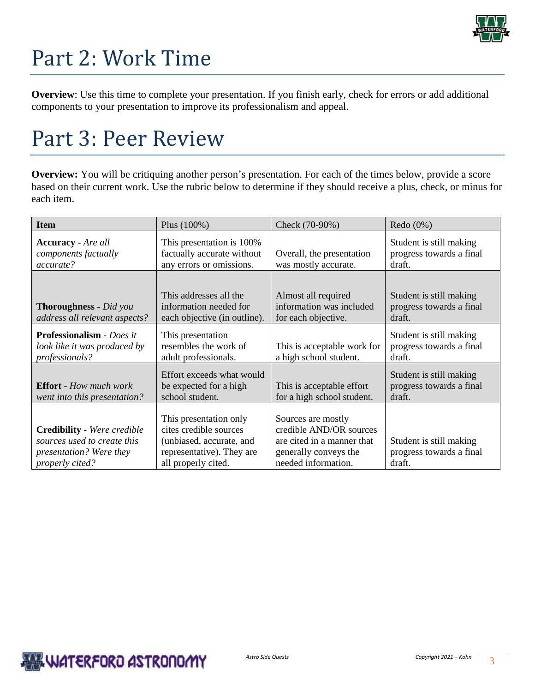

# Part 2: Work Time

**Overview**: Use this time to complete your presentation. If you finish early, check for errors or add additional components to your presentation to improve its professionalism and appeal.

### Part 3: Peer Review

**Overview:** You will be critiquing another person's presentation. For each of the times below, provide a score based on their current work. Use the rubric below to determine if they should receive a plus, check, or minus for each item.

| <b>Item</b>                                                                                                            | Plus (100%)                                                                                                                      | Check (70-90%)                                                                                                              | Redo $(0\%)$                                                  |  |
|------------------------------------------------------------------------------------------------------------------------|----------------------------------------------------------------------------------------------------------------------------------|-----------------------------------------------------------------------------------------------------------------------------|---------------------------------------------------------------|--|
| <b>Accuracy</b> - <i>Are all</i><br>components factually<br>accurate?                                                  | This presentation is 100%<br>factually accurate without<br>any errors or omissions.                                              | Overall, the presentation<br>was mostly accurate.                                                                           | Student is still making<br>progress towards a final<br>draft. |  |
| <b>Thoroughness</b> - Did you<br>address all relevant aspects?                                                         | This addresses all the<br>information needed for<br>each objective (in outline).                                                 | Almost all required<br>information was included<br>for each objective.                                                      | Student is still making<br>progress towards a final<br>draft. |  |
| <b>Professionalism</b> - Does it<br>look like it was produced by<br><i>professionals?</i>                              | This presentation<br>resembles the work of<br>adult professionals.                                                               | This is acceptable work for<br>a high school student.                                                                       | Student is still making<br>progress towards a final<br>draft. |  |
| <b>Effort</b> - How much work<br>went into this presentation?                                                          | Effort exceeds what would<br>be expected for a high<br>school student.                                                           | This is acceptable effort<br>for a high school student.                                                                     | Student is still making<br>progress towards a final<br>draft. |  |
| <b>Credibility</b> - Were credible<br>sources used to create this<br><i>presentation?</i> Were they<br>properly cited? | This presentation only<br>cites credible sources<br>(unbiased, accurate, and<br>representative). They are<br>all properly cited. | Sources are mostly<br>credible AND/OR sources<br>are cited in a manner that<br>generally conveys the<br>needed information. | Student is still making<br>progress towards a final<br>draft. |  |

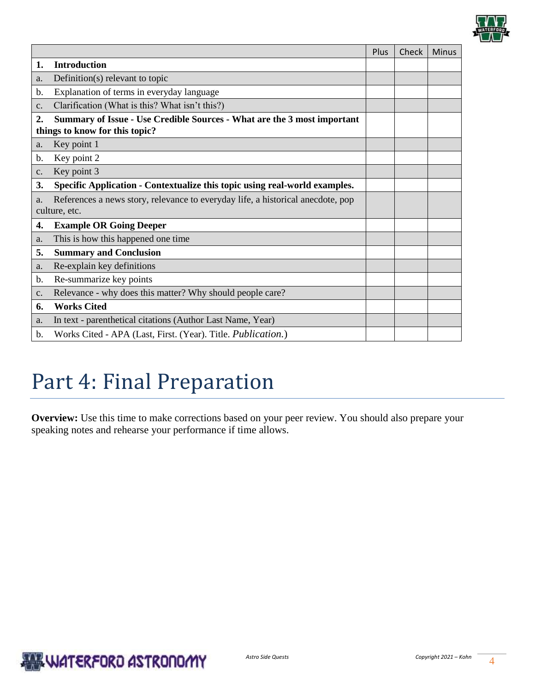

|               |                                                                                                           | Plus | Check | <b>Minus</b> |
|---------------|-----------------------------------------------------------------------------------------------------------|------|-------|--------------|
| 1.            | <b>Introduction</b>                                                                                       |      |       |              |
| a.            | Definition(s) relevant to topic                                                                           |      |       |              |
| b.            | Explanation of terms in everyday language                                                                 |      |       |              |
| c.            | Clarification (What is this? What isn't this?)                                                            |      |       |              |
| 2.            | Summary of Issue - Use Credible Sources - What are the 3 most important<br>things to know for this topic? |      |       |              |
| a.            | Key point 1                                                                                               |      |       |              |
| b.            | Key point 2                                                                                               |      |       |              |
| c.            | Key point 3                                                                                               |      |       |              |
| 3.            | Specific Application - Contextualize this topic using real-world examples.                                |      |       |              |
| a.            | References a news story, relevance to everyday life, a historical anecdote, pop<br>culture, etc.          |      |       |              |
| 4.            | <b>Example OR Going Deeper</b>                                                                            |      |       |              |
| a.            | This is how this happened one time                                                                        |      |       |              |
| 5.            | <b>Summary and Conclusion</b>                                                                             |      |       |              |
| a.            | Re-explain key definitions                                                                                |      |       |              |
| b.            | Re-summarize key points                                                                                   |      |       |              |
| $C_{\bullet}$ | Relevance - why does this matter? Why should people care?                                                 |      |       |              |
| 6.            | <b>Works Cited</b>                                                                                        |      |       |              |
| a.            | In text - parenthetical citations (Author Last Name, Year)                                                |      |       |              |
| b.            | Works Cited - APA (Last, First. (Year). Title. Publication.)                                              |      |       |              |

### Part 4: Final Preparation

**Overview:** Use this time to make corrections based on your peer review. You should also prepare your speaking notes and rehearse your performance if time allows.